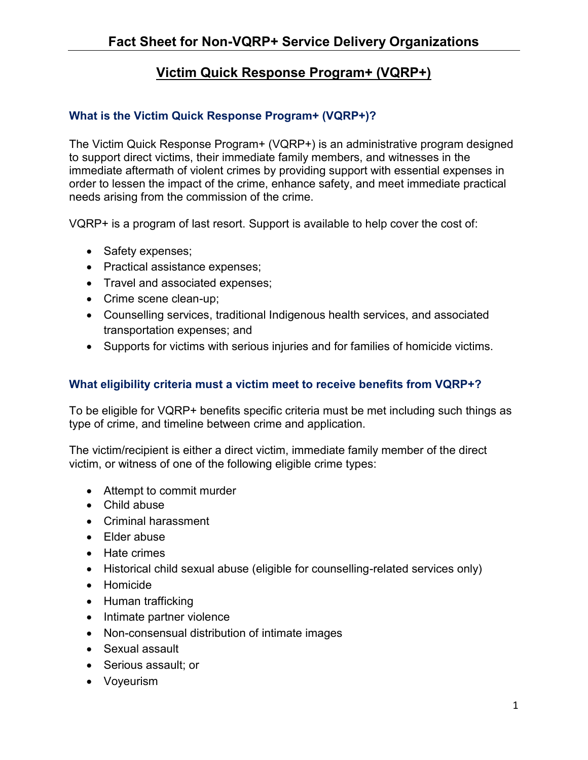## **Victim Quick Response Program+ (VQRP+)**

## **What is the Victim Quick Response Program+ (VQRP+)?**

The Victim Quick Response Program+ (VQRP+) is an administrative program designed to support direct victims, their immediate family members, and witnesses in the immediate aftermath of violent crimes by providing support with essential expenses in order to lessen the impact of the crime, enhance safety, and meet immediate practical needs arising from the commission of the crime.

VQRP+ is a program of last resort. Support is available to help cover the cost of:

- Safety expenses;
- Practical assistance expenses;
- Travel and associated expenses;
- Crime scene clean-up;
- Counselling services, traditional Indigenous health services, and associated transportation expenses; and
- Supports for victims with serious injuries and for families of homicide victims.

## **What eligibility criteria must a victim meet to receive benefits from VQRP+?**

To be eligible for VQRP+ benefits specific criteria must be met including such things as type of crime, and timeline between crime and application.

The victim/recipient is either a direct victim, immediate family member of the direct victim, or witness of one of the following eligible crime types:

- Attempt to commit murder
- Child abuse
- Criminal harassment
- Elder abuse
- Hate crimes
- Historical child sexual abuse (eligible for counselling-related services only)
- Homicide
- Human trafficking
- Intimate partner violence
- Non-consensual distribution of intimate images
- Sexual assault
- Serious assault; or
- Voyeurism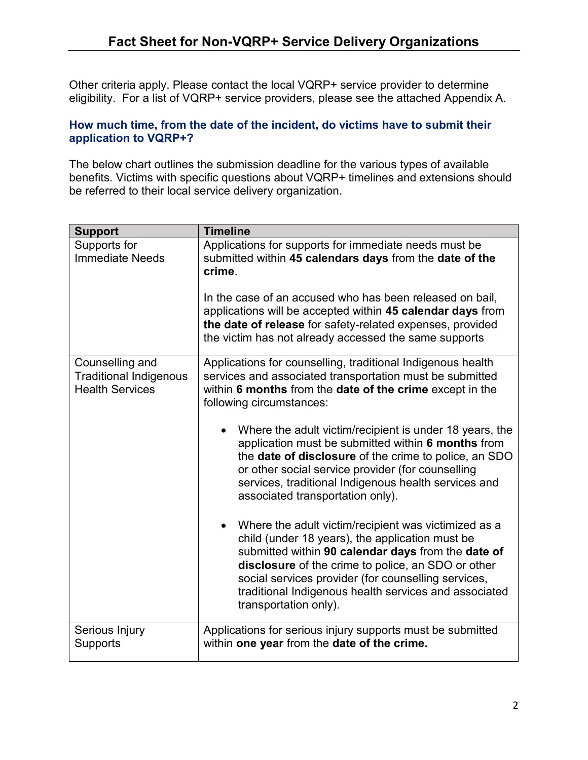Other criteria apply. Please contact the local VQRP+ service provider to determine eligibility. For a list of VQRP+ service providers, please see the attached Appendix A.

#### **How much time, from the date of the incident, do victims have to submit their application to VQRP+?**

The below chart outlines the submission deadline for the various types of available benefits. Victims with specific questions about VQRP+ timelines and extensions should be referred to their local service delivery organization.

| <b>Support</b>                                                             | <b>Timeline</b>                                                                                                                                                                                                                                                                                                                                              |  |  |  |
|----------------------------------------------------------------------------|--------------------------------------------------------------------------------------------------------------------------------------------------------------------------------------------------------------------------------------------------------------------------------------------------------------------------------------------------------------|--|--|--|
| Supports for<br><b>Immediate Needs</b>                                     | Applications for supports for immediate needs must be<br>submitted within 45 calendars days from the date of the<br>crime.<br>In the case of an accused who has been released on bail,                                                                                                                                                                       |  |  |  |
|                                                                            | applications will be accepted within 45 calendar days from<br>the date of release for safety-related expenses, provided<br>the victim has not already accessed the same supports                                                                                                                                                                             |  |  |  |
| Counselling and<br><b>Traditional Indigenous</b><br><b>Health Services</b> | Applications for counselling, traditional Indigenous health<br>services and associated transportation must be submitted<br>within 6 months from the date of the crime except in the<br>following circumstances:                                                                                                                                              |  |  |  |
|                                                                            | Where the adult victim/recipient is under 18 years, the<br>application must be submitted within 6 months from<br>the <b>date of disclosure</b> of the crime to police, an SDO<br>or other social service provider (for counselling<br>services, traditional Indigenous health services and<br>associated transportation only).                               |  |  |  |
|                                                                            | Where the adult victim/recipient was victimized as a<br>child (under 18 years), the application must be<br>submitted within 90 calendar days from the date of<br>disclosure of the crime to police, an SDO or other<br>social services provider (for counselling services,<br>traditional Indigenous health services and associated<br>transportation only). |  |  |  |
| Serious Injury<br><b>Supports</b>                                          | Applications for serious injury supports must be submitted<br>within one year from the date of the crime.                                                                                                                                                                                                                                                    |  |  |  |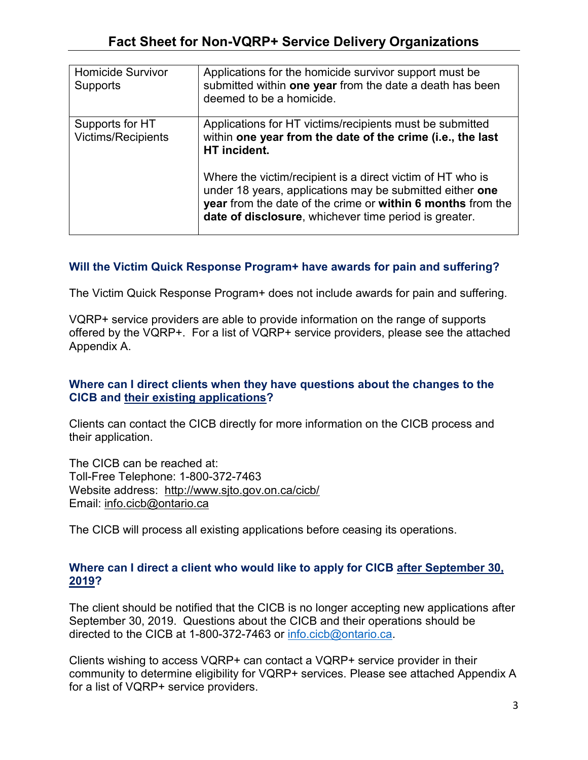| <b>Homicide Survivor</b><br><b>Supports</b>  | Applications for the homicide survivor support must be<br>submitted within one year from the date a death has been<br>deemed to be a homicide.                                                                                                 |
|----------------------------------------------|------------------------------------------------------------------------------------------------------------------------------------------------------------------------------------------------------------------------------------------------|
| Supports for HT<br><b>Victims/Recipients</b> | Applications for HT victims/recipients must be submitted<br>within one year from the date of the crime (i.e., the last<br>HT incident.                                                                                                         |
|                                              | Where the victim/recipient is a direct victim of HT who is<br>under 18 years, applications may be submitted either one<br>year from the date of the crime or within 6 months from the<br>date of disclosure, whichever time period is greater. |

### **Will the Victim Quick Response Program+ have awards for pain and suffering?**

The Victim Quick Response Program+ does not include awards for pain and suffering.

VQRP+ service providers are able to provide information on the range of supports offered by the VQRP+. For a list of VQRP+ service providers, please see the attached Appendix A.

### **Where can I direct clients when they have questions about the changes to the CICB and their existing applications?**

Clients can contact the CICB directly for more information on the CICB process and their application.

The CICB can be reached at: Toll-Free Telephone: 1-800-372-7463 Website address: <http://www.sjto.gov.on.ca/cicb/> Email: [info.cicb@ontario.ca](mailto:info.cicb@ontario.ca)

The CICB will process all existing applications before ceasing its operations.

### **Where can I direct a client who would like to apply for CICB after September 30, 2019?**

The client should be notified that the CICB is no longer accepting new applications after September 30, 2019. Questions about the CICB and their operations should be directed to the CICB at 1-800-372-7463 or [info.cicb@ontario.ca.](mailto:info.cicb@ontario.ca)

Clients wishing to access VQRP+ can contact a VQRP+ service provider in their community to determine eligibility for VQRP+ services. Please see attached Appendix A for a list of VQRP+ service providers.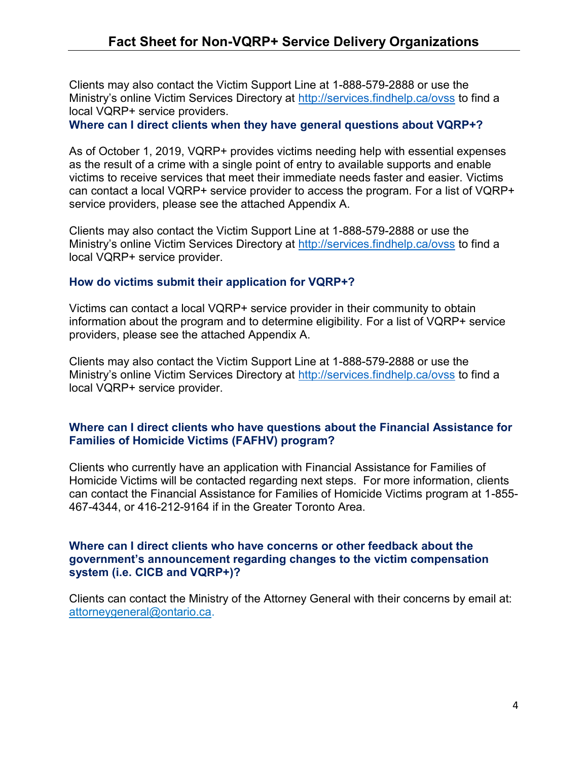Clients may also contact the Victim Support Line at 1-888-579-2888 or use the Ministry's online Victim Services Directory at <http://services.findhelp.ca/ovss> to find a local VQRP+ service providers.

**Where can I direct clients when they have general questions about VQRP+?**

As of October 1, 2019, VQRP+ provides victims needing help with essential expenses as the result of a crime with a single point of entry to available supports and enable victims to receive services that meet their immediate needs faster and easier. Victims can contact a local VQRP+ service provider to access the program. For a list of VQRP+ service providers, please see the attached Appendix A.

Clients may also contact the Victim Support Line at 1-888-579-2888 or use the Ministry's online Victim Services Directory at<http://services.findhelp.ca/ovss> to find a local VQRP+ service provider.

#### **How do victims submit their application for VQRP+?**

Victims can contact a local VQRP+ service provider in their community to obtain information about the program and to determine eligibility. For a list of VQRP+ service providers, please see the attached Appendix A.

Clients may also contact the Victim Support Line at 1-888-579-2888 or use the Ministry's online Victim Services Directory at <http://services.findhelp.ca/ovss> to find a local VQRP+ service provider.

#### **Where can I direct clients who have questions about the Financial Assistance for Families of Homicide Victims (FAFHV) program?**

Clients who currently have an application with Financial Assistance for Families of Homicide Victims will be contacted regarding next steps. For more information, clients can contact the Financial Assistance for Families of Homicide Victims program at 1-855- 467-4344, or 416-212-9164 if in the Greater Toronto Area.

#### **Where can I direct clients who have concerns or other feedback about the government's announcement regarding changes to the victim compensation system (i.e. CICB and VQRP+)?**

Clients can contact the Ministry of the Attorney General with their concerns by email at: [attorneygeneral@ontario.ca.](mailto:attorneygeneral@ontario.ca?subject=General%20Inquiry)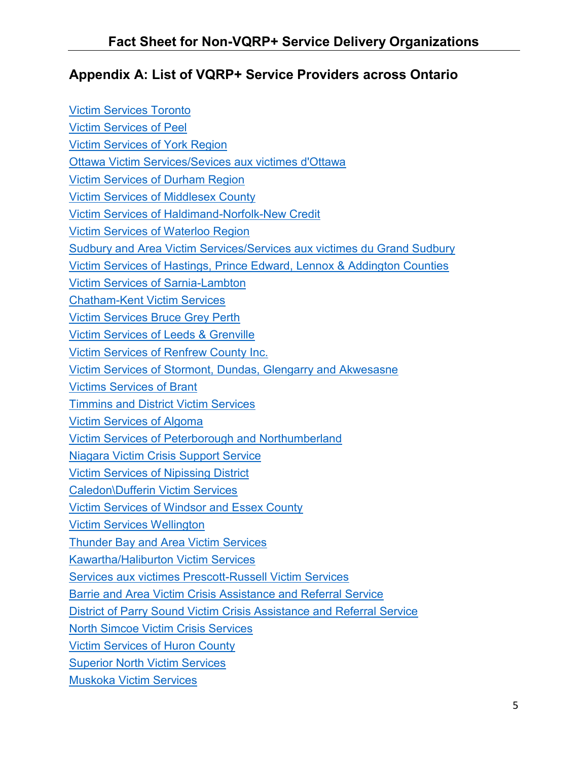# **Appendix A: List of VQRP+ Service Providers across Ontario**

| <b>Victim Services Toronto</b>                                                     |  |  |  |  |
|------------------------------------------------------------------------------------|--|--|--|--|
| <b>Victim Services of Peel</b>                                                     |  |  |  |  |
| <b>Victim Services of York Region</b>                                              |  |  |  |  |
| Ottawa Victim Services/Sevices aux victimes d'Ottawa                               |  |  |  |  |
| <b>Victim Services of Durham Region</b>                                            |  |  |  |  |
| <b>Victim Services of Middlesex County</b>                                         |  |  |  |  |
| <b>Victim Services of Haldimand-Norfolk-New Credit</b>                             |  |  |  |  |
| <b>Victim Services of Waterloo Region</b>                                          |  |  |  |  |
| Sudbury and Area Victim Services/Services aux victimes du Grand Sudbury            |  |  |  |  |
| <u>Victim Services of Hastings, Prince Edward, Lennox &amp; Addington Counties</u> |  |  |  |  |
| <b>Victim Services of Sarnia-Lambton</b>                                           |  |  |  |  |
| <b>Chatham-Kent Victim Services</b>                                                |  |  |  |  |
| <b>Victim Services Bruce Grey Perth</b>                                            |  |  |  |  |
| <b>Victim Services of Leeds &amp; Grenville</b>                                    |  |  |  |  |
| Victim Services of Renfrew County Inc.                                             |  |  |  |  |
| <b>Victim Services of Stormont, Dundas, Glengarry and Akwesasne</b>                |  |  |  |  |
| <b>Victims Services of Brant</b>                                                   |  |  |  |  |
| <b>Timmins and District Victim Services</b>                                        |  |  |  |  |
| <b>Victim Services of Algoma</b>                                                   |  |  |  |  |
| <b>Victim Services of Peterborough and Northumberland</b>                          |  |  |  |  |
| <b>Niagara Victim Crisis Support Service</b>                                       |  |  |  |  |
| <b>Victim Services of Nipissing District</b>                                       |  |  |  |  |
| <b>Caledon</b> \Dufferin Victim Services                                           |  |  |  |  |
| <b>Victim Services of Windsor and Essex County</b>                                 |  |  |  |  |
| <b>Victim Services Wellington</b>                                                  |  |  |  |  |
| <b>Thunder Bay and Area Victim Services</b>                                        |  |  |  |  |
| <b>Kawartha/Haliburton Victim Services</b>                                         |  |  |  |  |
| <b>Services aux victimes Prescott-Russell Victim Services</b>                      |  |  |  |  |
| <b>Barrie and Area Victim Crisis Assistance and Referral Service</b>               |  |  |  |  |
| <b>District of Parry Sound Victim Crisis Assistance and Referral Service</b>       |  |  |  |  |
| <b>North Simcoe Victim Crisis Services</b>                                         |  |  |  |  |
| <b>Victim Services of Huron County</b>                                             |  |  |  |  |
| <b>Superior North Victim Services</b>                                              |  |  |  |  |
| <b>Muskoka Victim Services</b>                                                     |  |  |  |  |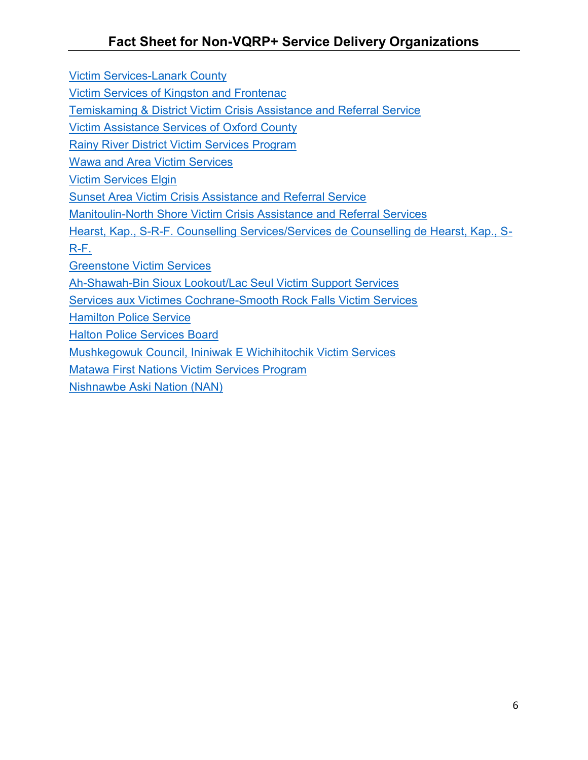[Victim Services-Lanark County](https://victimserviceslanark.ca/home.php)

[Victim Services of Kingston and Frontenac](https://victimserviceskingston.ca/)

[Temiskaming & District Victim Crisis Assistance and Referral Service](http://www.tdvictimservices.ca/)

[Victim Assistance Services of Oxford County](http://www.vasoc.on.ca/)

[Rainy River District Victim Services Program](https://www.rrdvsp.ca/)

[Wawa and Area Victim Services](http://victimserviceswawa.com/)

[Victim Services Elgin](http://www.victimserviceselgin.org/)

[Sunset Area Victim Crisis Assistance and Referral Service](https://victimserviceskenora.ca/)

[Manitoulin-North Shore Victim Crisis Assistance and Referral Services](https://mnvictimservices.ca/)

[Hearst, Kap., S-R-F. Counselling Services/Services de Counselling de Hearst, Kap., S-](https://www.hearst.ca/en/residents/social-and-health-services/hearst-kapuskasing-smooth-rock-falls-counselling-services/)[R-F.](https://www.hearst.ca/en/residents/social-and-health-services/hearst-kapuskasing-smooth-rock-falls-counselling-services/)

[Greenstone Victim Services](http://victimservices.blogspot.com/)

[Ah-Shawah-Bin Sioux Lookout/Lac Seul Victim Support Services](http://www.ahshawahbinvictimservices.ca/)

[Services aux Victimes Cochrane-Smooth Rock Falls Victim Services](http://www.cochranesrfvictimservices.ca/)

[Hamilton Police Service](https://hamiltonpolice.on.ca/victim-services)

[Halton Police Services Board](https://www.haltonpolice.ca/about/victimservices/index.php)

Mushkegowuk Council, Ininiwak E Wichihitochik Victim Services

Matawa First Nations Victim Services Program

[Nishnawbe Aski Nation \(NAN\)](http://www.nan.on.ca/article/victim-quick-response-program-vqrp-499.asp)